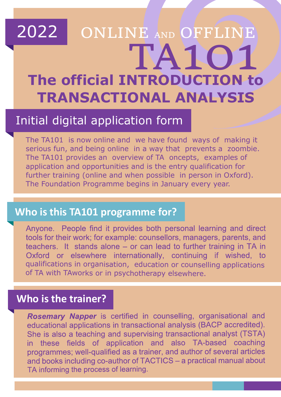# TA101 2022 **The official INTRODUCTION to TRANSACTIONAL ANALYSIS** ONLINE AND OFFLINE

## Initial digital application form

The TA101 is now online and we have found ways of making it serious fun, and being online in a way that prevents a zoombie. The TA101 provides an overview of TA oncepts, examples of application and opportunities and is the entry qualification for further training (online and when possible in person in Oxford). The Foundation Programme begins in January every year.

#### **Who is this TA101 programme for?**

Anyone. People find it provides both personal learning and direct tools for their work; for example: counsellors, managers, parents, and teachers. It stands alone - or can lead to further training in TA in Oxford or elsewhere internationally, continuing if wished, to qualifications in organisation, education or counselling applications of TA with TAworks or in psychotherapy elsewhere.

#### **Who is the trainer?**

I

Rosemary Napper is certified in counselling, organisational and educational applications in transactional analysis (BACP accredited). She is also a teaching and supervising transactional analyst (TSTA) in these fields of application and also TA-based coaching programmes; well-qualified as a trainer, and author of several articles and books including co-author of TACTICS - a practical manual about TA informing the process of learning.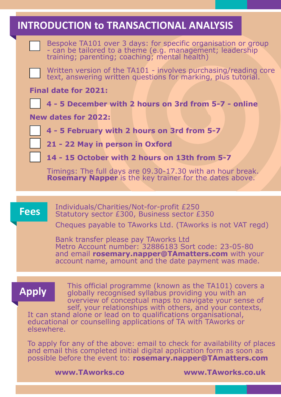#### **INTRODUCTION to TRANSACTIONAL ANALYSIS**

 Bespoke TA101 over 3 days: for specific organisation or group - can be tailored to a theme (e.g. management; leadership training; parenting; coaching; mental health)

 Written version of the TA101 - involves purchasing/reading core text, answering written questions for marking, plus tutorial.

**Final date for 2021:** 

 **4 - 5 December with 2 hours on 3rd from 5-7 - online**

**New dates for 2022:**

 **4 - 5 February with 2 hours on 3rd from 5-7**

 **21 - 22 May in person in Oxford**

 **14 - 15 October with 2 hours on 13th from 5-7** 

 Timings: The full days are 09.30-17.30 with an hour break. **Rosemary Napper** is the key trainer for the dates above.

**Fees** Individuals/Charities/Not-for-profit £250<br>Statutory sector £300, Business sector £350

Cheques payable to TAworks Ltd. (TAworks is not VAT regd)

Bank transfer please pay TAworks Ltd Metro Account number: 32886183 Sort code: 23-05-80 and email **rosemary.napper@TAmatters.com** with your account name, amount and the date payment was made.

**Apply** This official programme (known as the TA101) covers a **Apply** qlobally recognised syllabus providing you with an globally recognised syllabus providing you with an overview of conceptual maps to navigate your sense of self, your relationships with others, and your contexts,

It can stand alone or lead on to qualifications organisational, educational or counselling applications of TA with TAworks or elsewhere.

To apply for any of the above: email to check for availability of places and email this completed initial digital application form as soon as possible before the event to: **rosemary.napper@TAmatters.com**

**www.TAworks.co www.TAworks.co.uk**